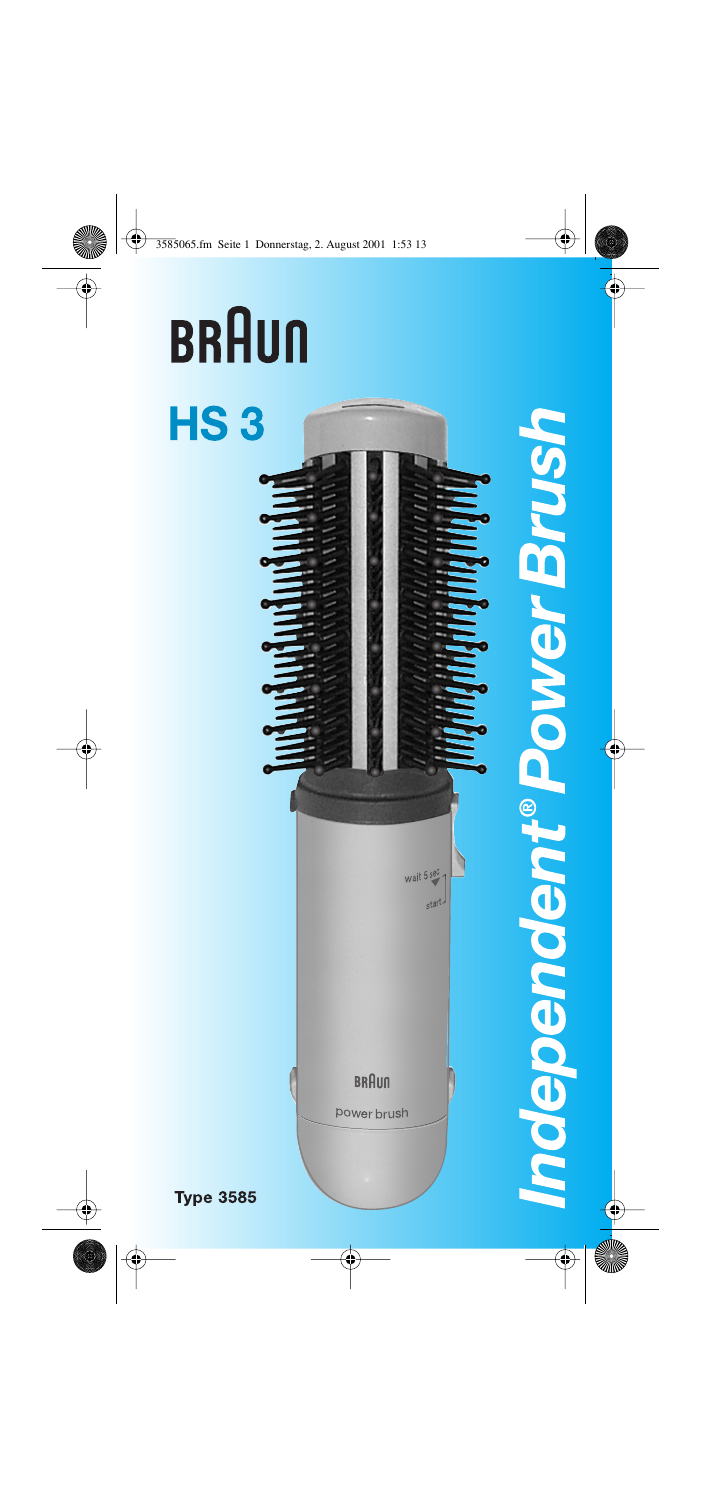# **BRAUN HS3**



**ndependent®PowerBrush** 

**Type 3585**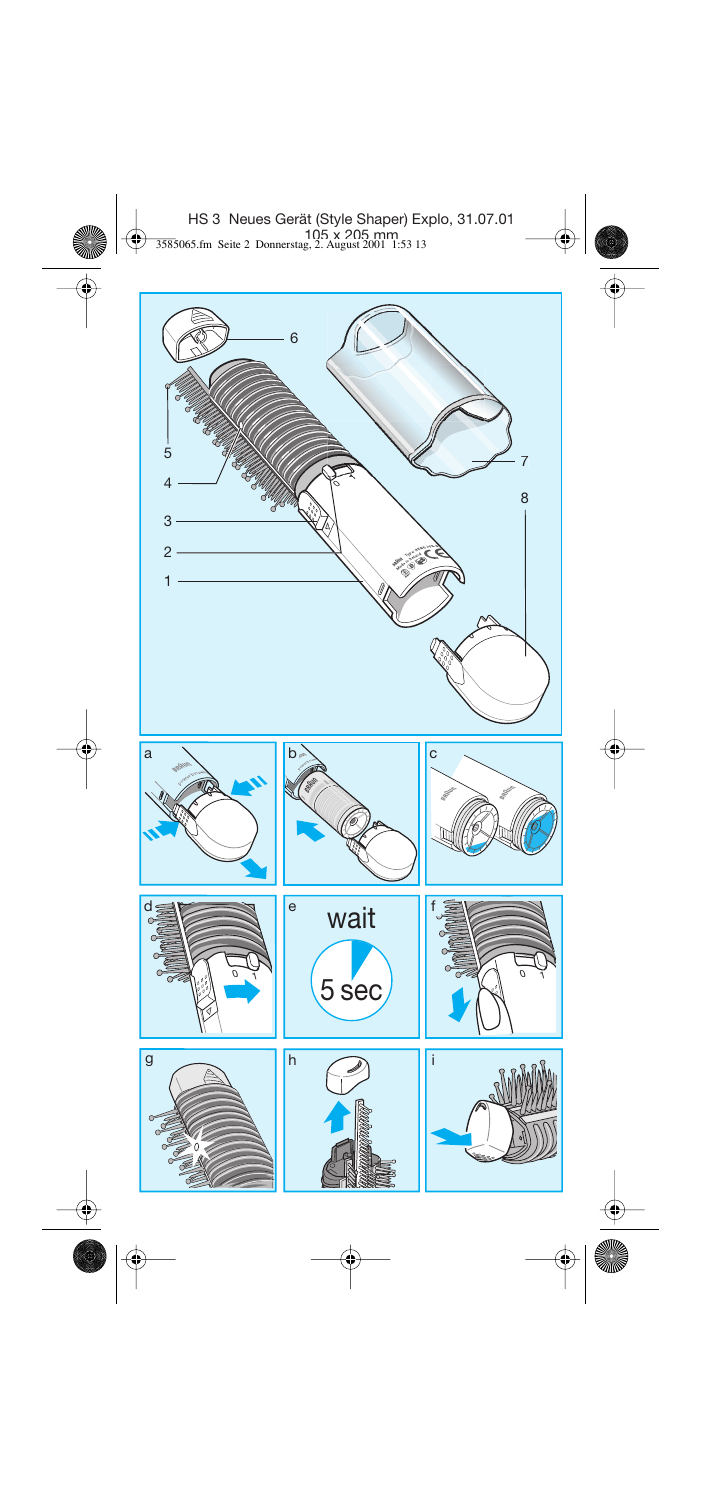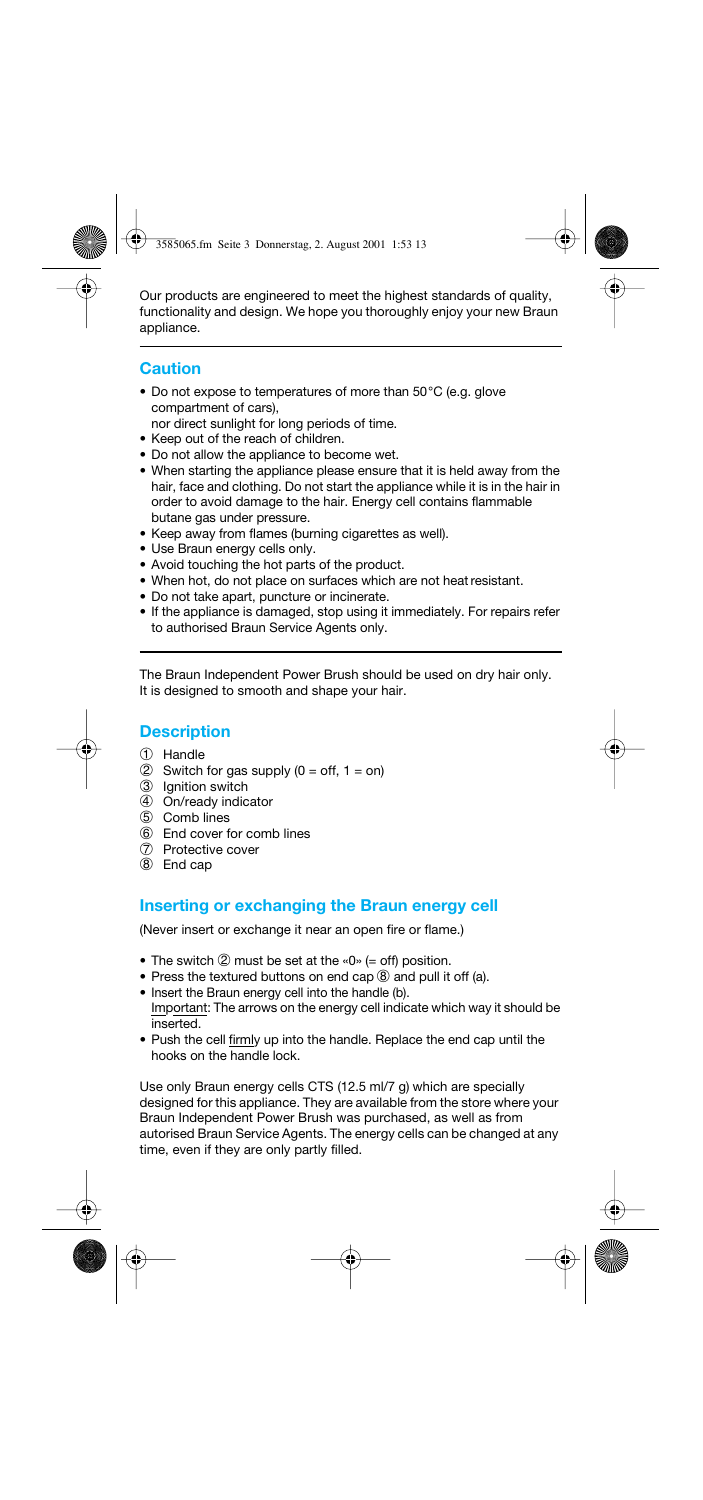Our products are engineered to meet the highest standards of quality, functionality and design. We hope you thoroughly enjoy your new Braun appliance.

# **Caution**

- Do not expose to temperatures of more than 50°C (e.g. glove compartment of cars),
- nor direct sunlight for long periods of time.
- Keep out of the reach of children.
- Do not allow the appliance to become wet.
- When starting the appliance please ensure that it is held away from the hair, face and clothing. Do not start the appliance while it is in the hair in order to avoid damage to the hair. Energy cell contains flammable butane gas under pressure.
- Keep away from flames (burning cigarettes as well).
- Use Braun energy cells only.
- Avoid touching the hot parts of the product.
- When hot, do not place on surfaces which are not heat resistant.
- Do not take apart, puncture or incinerate.
- If the appliance is damaged, stop using it immediately. For repairs refer to authorised Braun Service Agents only.

The Braun Independent Power Brush should be used on dry hair only. It is designed to smooth and shape your hair.

# **Description**

- 1 Handle
- 2 Switch for gas supply  $(0 = \text{off}, 1 = \text{on})$
- 3 Ignition switch
- 4 On/ready indicator
- 5 Comb lines
- 6 End cover for comb lines
- 7 Protective cover
- 8 End cap

# **Inserting or exchanging the Braun energy cell**

(Never insert or exchange it near an open fire or flame.)

- The switch  $\oslash$  must be set at the «0» (= off) position.
- Press the textured buttons on end cap  $\circled{8}$  and pull it off (a).
- Insert the Braun energy cell into the handle (b).
- Important: The arrows on the energy cell indicate which way it should be inserted.
- Push the cell firmly up into the handle. Replace the end cap until the hooks on the handle lock.

Use only Braun energy cells CTS (12.5 ml/7 g) which are specially designed for this appliance. They are available from the store where your Braun Independent Power Brush was purchased, as well as from autorised Braun Service Agents. The energy cells can be changed at any time, even if they are only partly filled.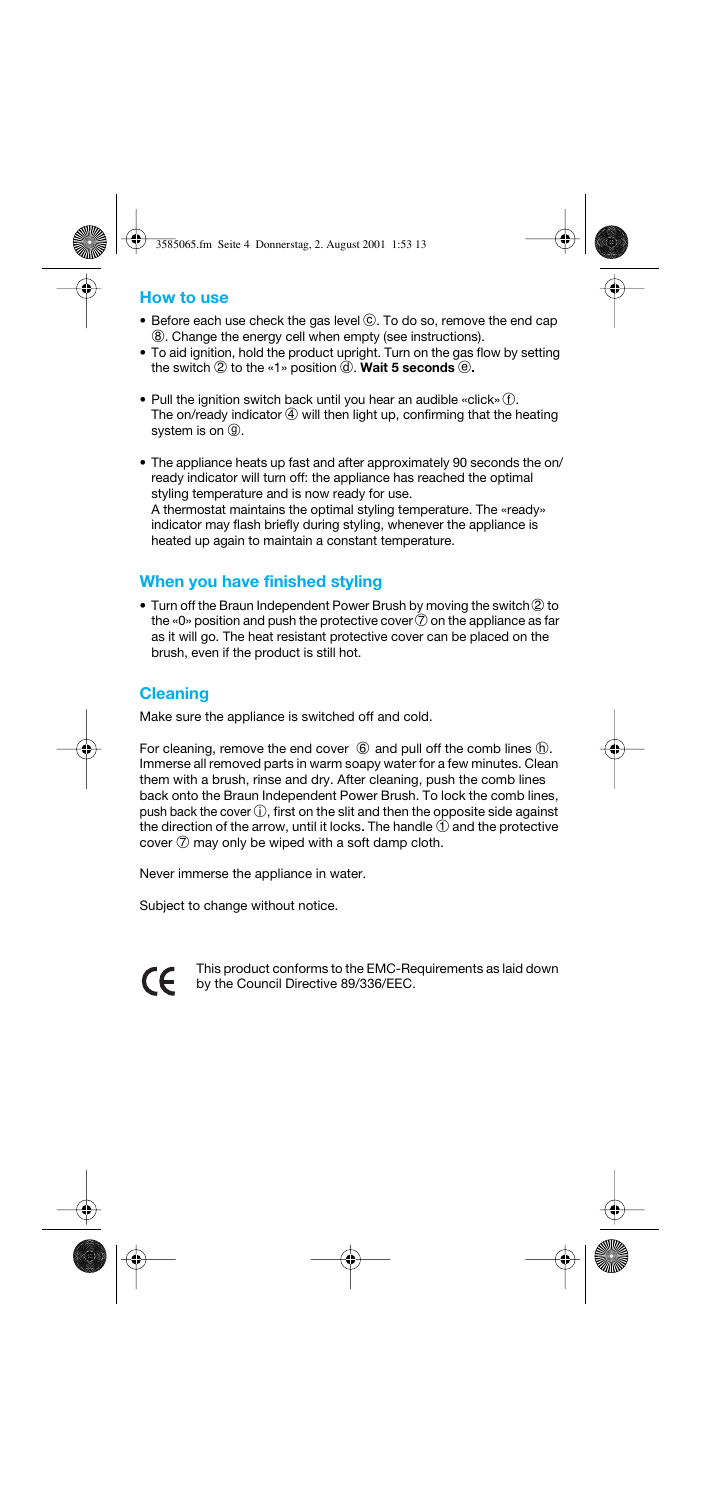## **How to use**

- $\bullet$  Before each use check the gas level  $\odot$ . To do so, remove the end cap 8. Change the energy cell when empty (see instructions).
- To aid ignition, hold the product upright. Turn on the gas flow by setting the switch  $\oslash$  to the «1» position  $\oslash$ . **Wait 5 seconds**  $\oslash$ .
- Pull the ignition switch back until you hear an audible «click» $\circled{f}$ . The on/ready indicator  $4$  will then light up, confirming that the heating system is on  $\circled{9}$ .
- The appliance heats up fast and after approximately 90 seconds the on/ ready indicator will turn off: the appliance has reached the optimal styling temperature and is now ready for use. A thermostat maintains the optimal styling temperature. The «ready» indicator may flash briefly during styling, whenever the appliance is heated up again to maintain a constant temperature.

# **When you have finished styling**

 $\bullet$  Turn off the Braun Independent Power Brush by moving the switch  $@$  to the «0» position and push the protective cover  $\widehat{7}$  on the appliance as far as it will go. The heat resistant protective cover can be placed on the brush, even if the product is still hot.

# **Cleaning**

Make sure the appliance is switched off and cold.

For cleaning, remove the end cover  $\circled{6}$  and pull off the comb lines  $\circled{h}$ . Immerse all removed parts in warm soapy water for a few minutes. Clean them with a brush, rinse and dry. After cleaning, push the comb lines back onto the Braun Independent Power Brush. To lock the comb lines, push back the cover  $\oplus$ , first on the slit and then the opposite side against the direction of the arrow, until it locks. The handle 1 and the protective cover  $\oslash$  may only be wiped with a soft damp cloth.

Never immerse the appliance in water.

Subject to change without notice.

This product conforms to the EMC-Requirements as laid down CE. by the Council Directive 89/336/EEC.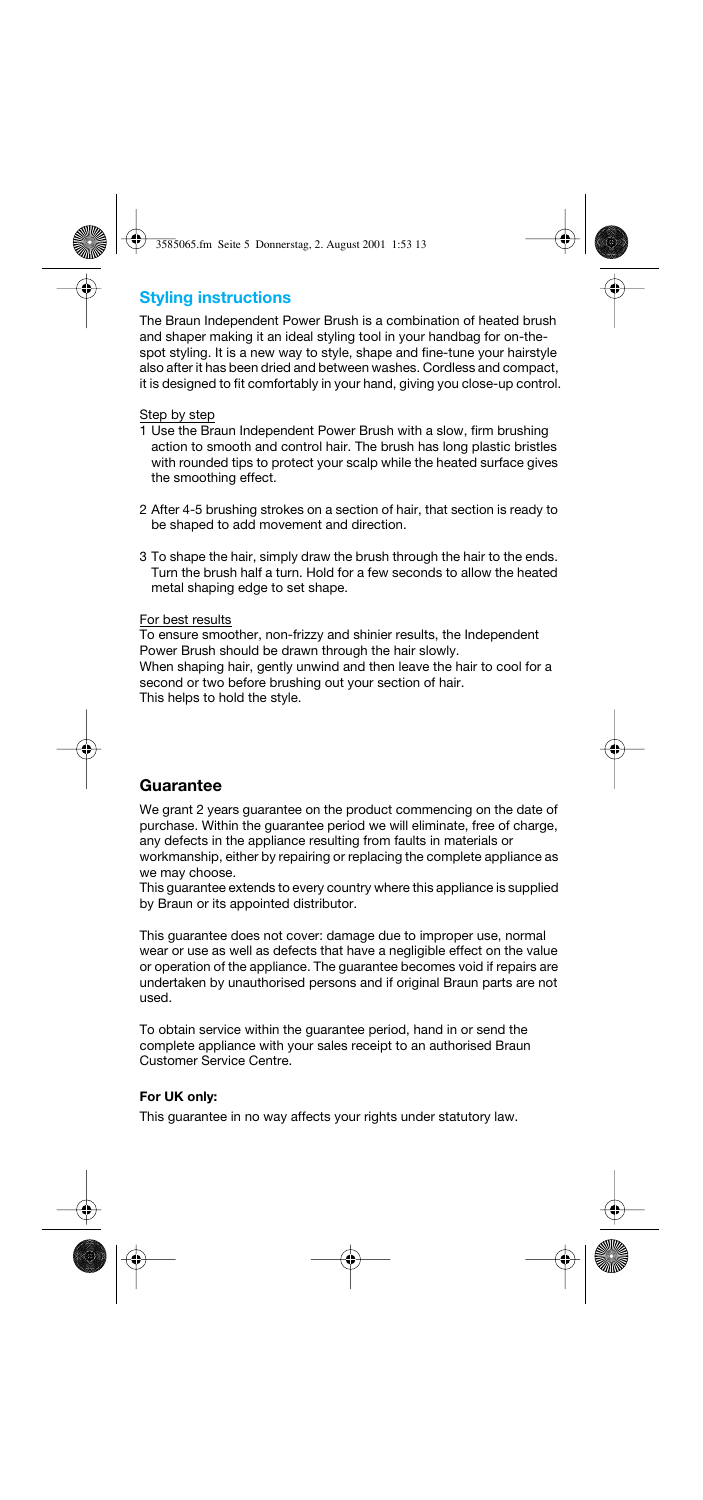# **Styling instructions**

The Braun Independent Power Brush is a combination of heated brush and shaper making it an ideal styling tool in your handbag for on-thespot styling. It is a new way to style, shape and fine-tune your hairstyle also after it has been dried and between washes. Cordless and compact, it is designed to fit comfortably in your hand, giving you close-up control.

#### Step by step

- 1 Use the Braun Independent Power Brush with a slow, firm brushing action to smooth and control hair. The brush has long plastic bristles with rounded tips to protect your scalp while the heated surface gives the smoothing effect.
- 2 After 4-5 brushing strokes on a section of hair, that section is ready to be shaped to add movement and direction.
- 3 To shape the hair, simply draw the brush through the hair to the ends. Turn the brush half a turn. Hold for a few seconds to allow the heated metal shaping edge to set shape.

#### For best results

To ensure smoother, non-frizzy and shinier results, the Independent Power Brush should be drawn through the hair slowly. When shaping hair, gently unwind and then leave the hair to cool for a second or two before brushing out your section of hair.

This helps to hold the style.

## **Guarantee**

We grant 2 years guarantee on the product commencing on the date of purchase. Within the guarantee period we will eliminate, free of charge, any defects in the appliance resulting from faults in materials or workmanship, either by repairing or replacing the complete appliance as we may choose.

This guarantee extends to every country where this appliance is supplied by Braun or its appointed distributor.

This guarantee does not cover: damage due to improper use, normal wear or use as well as defects that have a negligible effect on the value or operation of the appliance. The guarantee becomes void if repairs are undertaken by unauthorised persons and if original Braun parts are not used.

To obtain service within the guarantee period, hand in or send the complete appliance with your sales receipt to an authorised Braun Customer Service Centre.

#### **For UK only:**

This guarantee in no way affects your rights under statutory law.